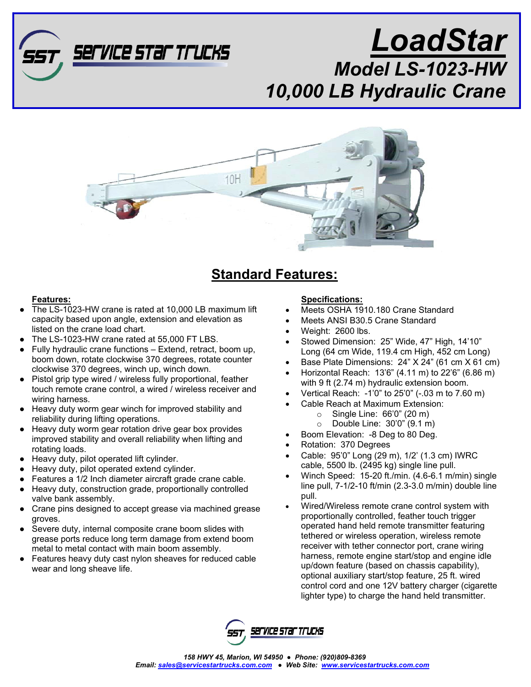

## *LoadStar Model LS-1023-HW 10,000 LB Hydraulic Crane*



### **Standard Features:**

#### **Features:**

- **●** The LS-1023-HW crane is rated at 10,000 LB maximum lift capacity based upon angle, extension and elevation as listed on the crane load chart.
- **●** The LS-1023-HW crane rated at 55,000 FT LBS.
- **●** Fully hydraulic crane functions – Extend, retract, boom up, boom down, rotate clockwise 370 degrees, rotate counter clockwise 370 degrees, winch up, winch down.
- **●** Pistol grip type wired / wireless fully proportional, feather touch remote crane control, a wired / wireless receiver and wiring harness.
- **●** Heavy duty worm gear winch for improved stability and reliability during lifting operations.
- **●** Heavy duty worm gear rotation drive gear box provides improved stability and overall reliability when lifting and rotating loads.
- **●** Heavy duty, pilot operated lift cylinder.
- **●** Heavy duty, pilot operated extend cylinder.
- **●** Features a 1/2 Inch diameter aircraft grade crane cable.
- **●** Heavy duty, construction grade, proportionally controlled valve bank assembly.
- **●** Crane pins designed to accept grease via machined grease groves.
- **●** Severe duty, internal composite crane boom slides with grease ports reduce long term damage from extend boom metal to metal contact with main boom assembly.
- **●** Features heavy duty cast nylon sheaves for reduced cable wear and long sheave life.

#### **Specifications:**

- Meets OSHA 1910.180 Crane Standard
- Meets ANSI B30.5 Crane Standard
- Weight: 2600 lbs.
- Stowed Dimension: 25" Wide, 47" High, 14'10" Long (64 cm Wide, 119.4 cm High, 452 cm Long)
- Base Plate Dimensions: 24" X 24" (61 cm X 61 cm)
- Horizontal Reach: 13'6" (4.11 m) to 22'6" (6.86 m) with 9 ft (2.74 m) hydraulic extension boom.
- Vertical Reach: -1'0" to 25'0" (-.03 m to 7.60 m)
- Cable Reach at Maximum Extension:
	- o Single Line: 66'0" (20 m)
	- o Double Line: 30'0" (9.1 m)
- Boom Elevation: -8 Deg to 80 Deg.
- Rotation: 370 Degrees
- Cable: 95'0" Long (29 m), 1/2' (1.3 cm) IWRC cable, 5500 lb. (2495 kg) single line pull.
- Winch Speed: 15-20 ft./min. (4.6-6.1 m/min) single line pull, 7-1/2-10 ft/min (2.3-3.0 m/min) double line pull.
- Wired/Wireless remote crane control system with proportionally controlled, feather touch trigger operated hand held remote transmitter featuring tethered or wireless operation, wireless remote receiver with tether connector port, crane wiring harness, remote engine start/stop and engine idle up/down feature (based on chassis capability), optional auxiliary start/stop feature, 25 ft. wired control cord and one 12V battery charger (cigarette lighter type) to charge the hand held transmitter.